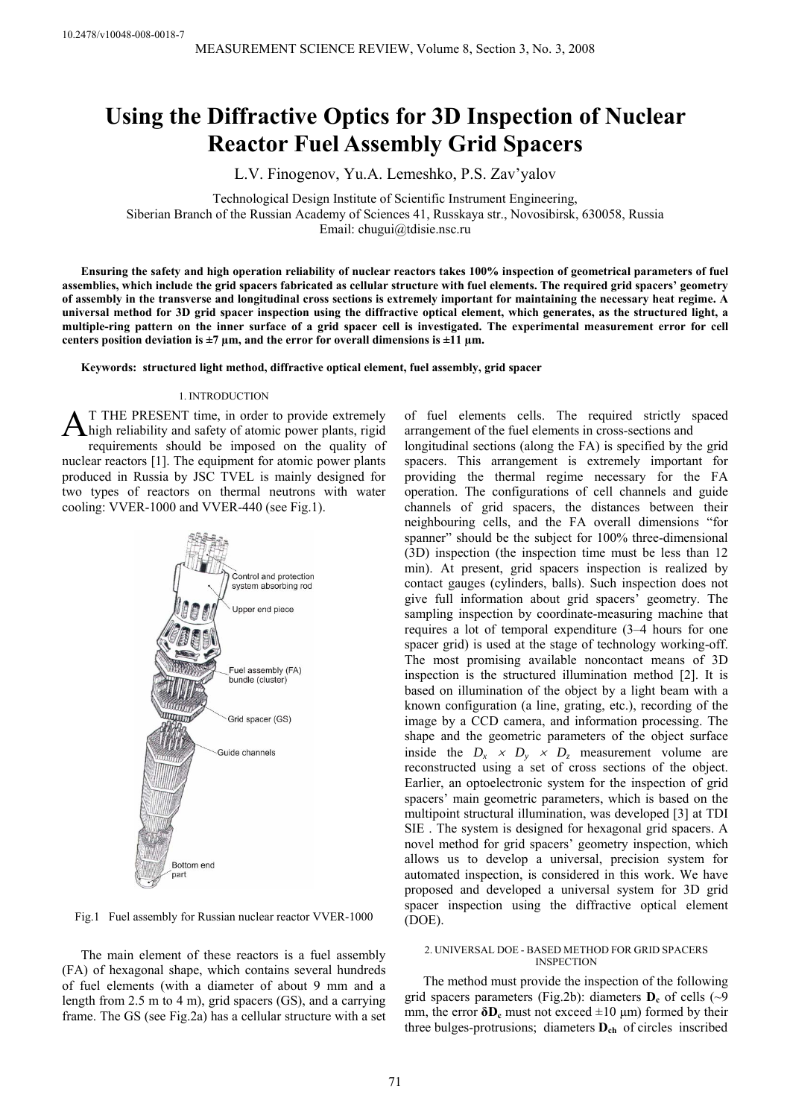# **Using the Diffractive Optics for 3D Inspection of Nuclear Reactor Fuel Assembly Grid Spacers**

L.V. Finogenov, Yu.A. Lemeshko, P.S. Zav'yalov

Technological Design Institute of Scientific Instrument Engineering, Siberian Branch of the Russian Academy of Sciences 41, Russkaya str., Novosibirsk, 630058, Russia Email: chugui@tdisie.nsc.ru

**Ensuring the safety and high operation reliability of nuclear reactors takes 100% inspection of geometrical parameters of fuel assemblies, which include the grid spacers fabricated as cellular structure with fuel elements. The required grid spacers' geometry of assembly in the transverse and longitudinal cross sections is extremely important for maintaining the necessary heat regime. A universal method for 3D grid spacer inspection using the diffractive optical element, which generates, as the structured light, a multiple-ring pattern on the inner surface of a grid spacer cell is investigated. The experimental measurement error for cell**  centers position deviation is  $\pm 7 \mu$ m, and the error for overall dimensions is  $\pm 11 \mu$ m.

**Keywords: structured light method, diffractive optical element, fuel assembly, grid spacer** 

# 1. INTRODUCTION

T THE PRESENT time, in order to provide extremely AT THE PRESENT time, in order to provide extremely high reliability and safety of atomic power plants, rigid requirements should be imposed on the quality of nuclear reactors [1]. The equipment for atomic power plants produced in Russia by JSC TVEL is mainly designed for two types of reactors on thermal neutrons with water cooling: VVER-1000 and VVER-440 (see Fig.1).



Fig.1 Fuel assembly for Russian nuclear reactor VVER-1000

The main element of these reactors is a fuel assembly (FA) of hexagonal shape, which contains several hundreds of fuel elements (with a diameter of about 9 mm and a length from 2.5 m to 4 m), grid spacers (GS), and a carrying frame. The GS (see Fig.2a) has a cellular structure with a set of fuel elements cells. The required strictly spaced arrangement of the fuel elements in cross-sections and longitudinal sections (along the FA) is specified by the grid spacers. This arrangement is extremely important for providing the thermal regime necessary for the FA operation. The configurations of cell channels and guide channels of grid spacers, the distances between their neighbouring cells, and the FA overall dimensions "for spanner" should be the subject for 100% three-dimensional (3D) inspection (the inspection time must be less than 12 min). At present, grid spacers inspection is realized by contact gauges (cylinders, balls). Such inspection does not give full information about grid spacers' geometry. The sampling inspection by coordinate-measuring machine that requires a lot of temporal expenditure (3–4 hours for one spacer grid) is used at the stage of technology working-off. The most promising available noncontact means of 3D inspection is the structured illumination method [2]. It is based on illumination of the object by a light beam with a known configuration (a line, grating, etc.), recording of the image by a CCD camera, and information processing. The shape and the geometric parameters of the object surface inside the  $D_x \times D_y \times D_z$  measurement volume are reconstructed using a set of cross sections of the object. Earlier, an optoelectronic system for the inspection of grid spacers' main geometric parameters, which is based on the multipoint structural illumination, was developed [3] at TDI SIE . The system is designed for hexagonal grid spacers. A novel method for grid spacers' geometry inspection, which allows us to develop a universal, precision system for automated inspection, is considered in this work. We have proposed and developed a universal system for 3D grid spacer inspection using the diffractive optical element (DOE).

# 2. UNIVERSAL DOE - BASED METHOD FOR GRID SPACERS **INSPECTION**

The method must provide the inspection of the following grid spacers parameters (Fig.2b): diameters  $D_c$  of cells ( $\sim$ 9 mm, the error  $\delta D_c$  must not exceed  $\pm 10 \mu m$ ) formed by their three bulges-protrusions; diameters **Dch** of circles inscribed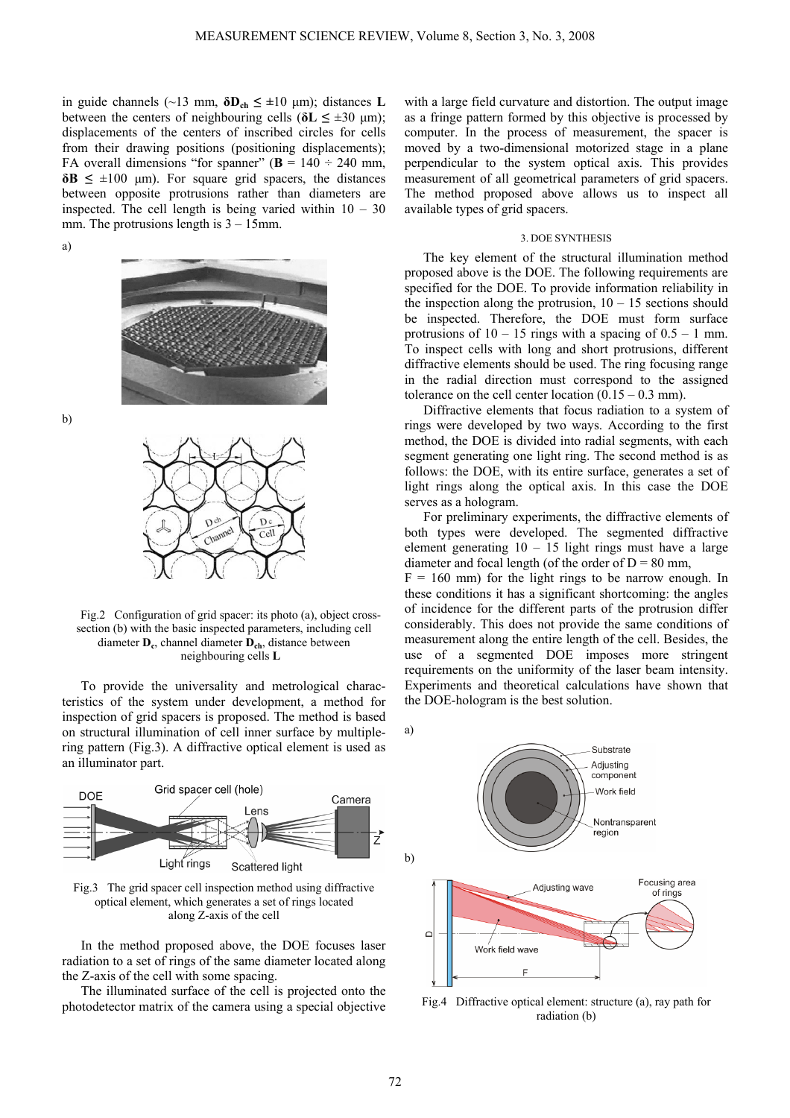in guide channels ( $\sim$ 13 mm,  $\delta$ **D**<sub>ch</sub>  $\leq$   $\pm$ 10 µm); distances **L** between the centers of neighbouring cells ( $\delta$ **L**  $\leq \pm 30$  µm); displacements of the centers of inscribed circles for cells from their drawing positions (positioning displacements); FA overall dimensions "for spanner" ( $\mathbf{B} = 140 \div 240$  mm,  $\delta$ **B**  $\leq \pm 100$  µm). For square grid spacers, the distances between opposite protrusions rather than diameters are inspected. The cell length is being varied within  $10 - 30$ mm. The protrusions length is 3 – 15mm.

а)



b)



Fig.2 Configuration of grid spacer: its photo (а), object crosssection (b) with the basic inspected parameters, including cell diameter **Dc**, channel diameter **Dch**, distance between neighbouring cells **L**

To provide the universality and metrological characteristics of the system under development, a method for inspection of grid spacers is proposed. The method is based on structural illumination of cell inner surface by multiplering pattern (Fig.3). A diffractive optical element is used as an illuminator part.



Fig.3 The grid spacer cell inspection method using diffractive optical element, which generates a set of rings located along Z-axis of the cell

In the method proposed above, the DOE focuses laser radiation to a set of rings of the same diameter located along the Z-axis of the cell with some spacing.

The illuminated surface of the cell is projected onto the photodetector matrix of the camera using a special objective

with a large field curvature and distortion. The output image as a fringe pattern formed by this objective is processed by computer. In the process of measurement, the spacer is moved by a two-dimensional motorized stage in a plane perpendicular to the system optical axis. This provides measurement of all geometrical parameters of grid spacers. The method proposed above allows us to inspect all available types of grid spacers.

## 3. DOE SYNTHESIS

The key element of the structural illumination method proposed above is the DOE. The following requirements are specified for the DOE. To provide information reliability in the inspection along the protrusion,  $10 - 15$  sections should be inspected. Therefore, the DOE must form surface protrusions of  $10 - 15$  rings with a spacing of  $0.5 - 1$  mm. To inspect cells with long and short protrusions, different diffractive elements should be used. The ring focusing range in the radial direction must correspond to the assigned tolerance on the cell center location  $(0.15 - 0.3 \text{ mm})$ .

Diffractive elements that focus radiation to a system of rings were developed by two ways. According to the first method, the DOE is divided into radial segments, with each segment generating one light ring. The second method is as follows: the DOE, with its entire surface, generates a set of light rings along the optical axis. In this case the DOE serves as a hologram.

For preliminary experiments, the diffractive elements of both types were developed. The segmented diffractive element generating  $10 - 15$  light rings must have a large diameter and focal length (of the order of  $D = 80$  mm,

 $F = 160$  mm) for the light rings to be narrow enough. In these conditions it has a significant shortcoming: the angles of incidence for the different parts of the protrusion differ considerably. This does not provide the same conditions of measurement along the entire length of the cell. Besides, the use of a segmented DOE imposes more stringent requirements on the uniformity of the laser beam intensity. Experiments and theoretical calculations have shown that the DOE-hologram is the best solution.



Fig.4 Diffractive optical element: structure (a), ray path for radiation (b)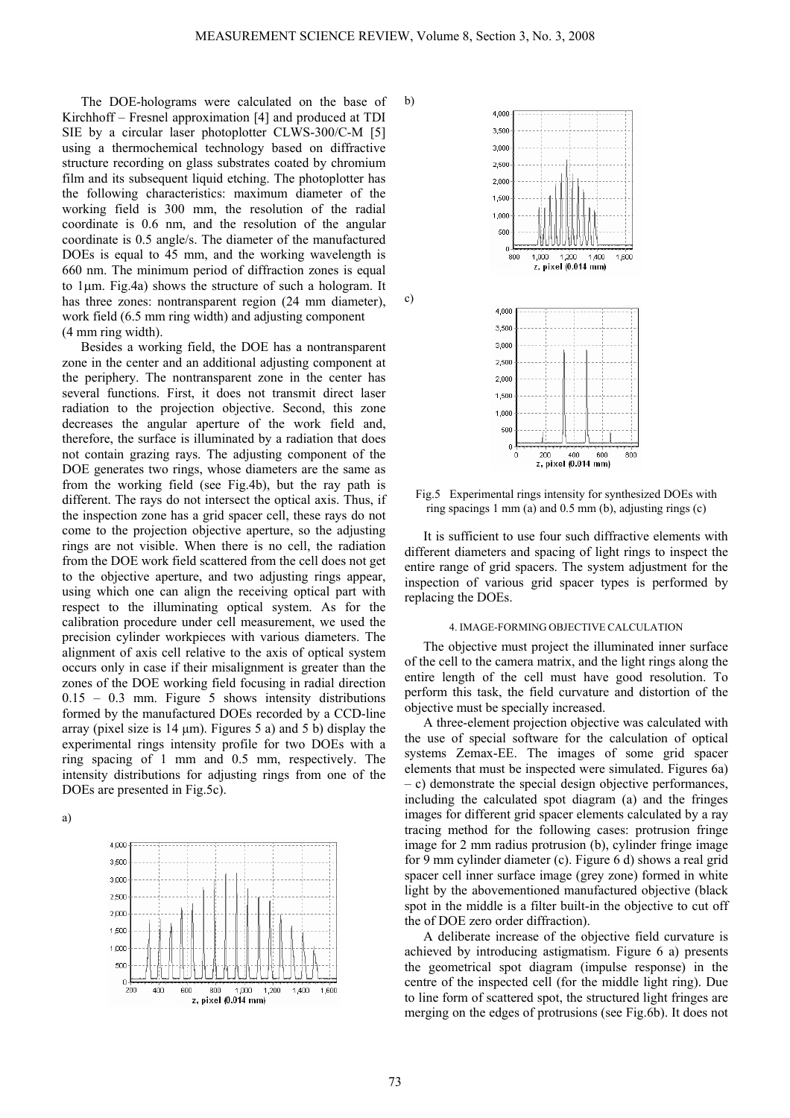b)

c)

The DOE-holograms were calculated on the base of Kirchhoff – Fresnel approximation [4] and produced at TDI SIE by a circular laser photoplotter CLWS-300/С-М [5] using a thermochemical technology based on diffractive structure recording on glass substrates coated by chromium film and its subsequent liquid etching. The photoplotter has the following characteristics: maximum diameter of the working field is 300 mm, the resolution of the radial coordinate is 0.6 nm, and the resolution of the angular coordinate is 0.5 angle/s. The diameter of the manufactured DOEs is equal to 45 mm, and the working wavelength is 660 nm. The minimum period of diffraction zones is equal to 1µm. Fig.4a) shows the structure of such a hologram. It has three zones: nontransparent region (24 mm diameter), work field (6.5 mm ring width) and adjusting component (4 mm ring width).

Besides a working field, the DOE has a nontransparent zone in the center and an additional adjusting component at the periphery. The nontransparent zone in the center has several functions. First, it does not transmit direct laser radiation to the projection objective. Second, this zone decreases the angular aperture of the work field and, therefore, the surface is illuminated by a radiation that does not contain grazing rays. The adjusting component of the DOE generates two rings, whose diameters are the same as from the working field (see Fig.4b), but the ray path is different. The rays do not intersect the optical axis. Thus, if the inspection zone has a grid spacer cell, these rays do not come to the projection objective aperture, so the adjusting rings are not visible. When there is no cell, the radiation from the DOE work field scattered from the cell does not get to the objective aperture, and two adjusting rings appear, using which one can align the receiving optical part with respect to the illuminating optical system. As for the calibration procedure under cell measurement, we used the precision cylinder workpieces with various diameters. The alignment of axis cell relative to the axis of optical system occurs only in case if their misalignment is greater than the zones of the DOE working field focusing in radial direction 0.15 – 0.3 mm. Figure 5 shows intensity distributions formed by the manufactured DOEs recorded by a CCD-line array (pixel size is  $14 \mu m$ ). Figures 5 a) and 5 b) display the experimental rings intensity profile for two DOEs with a ring spacing of 1 mm and 0.5 mm, respectively. The intensity distributions for adjusting rings from one of the DOEs are presented in Fig.5c).

a)





Fig.5 Experimental rings intensity for synthesized DOEs with ring spacings 1 mm (a) and  $0.5$  mm (b), adjusting rings (c)

It is sufficient to use four such diffractive elements with different diameters and spacing of light rings to inspect the entire range of grid spacers. The system adjustment for the inspection of various grid spacer types is performed by replacing the DOEs.

#### 4. IMAGE-FORMING OBJECTIVE CALCULATION

The objective must project the illuminated inner surface of the cell to the camera matrix, and the light rings along the entire length of the cell must have good resolution. To perform this task, the field curvature and distortion of the objective must be specially increased.

A three-element projection objective was calculated with the use of special software for the calculation of optical systems Zemax-EE. The images of some grid spacer elements that must be inspected were simulated. Figures 6a) – c) demonstrate the special design objective performances, including the calculated spot diagram (a) and the fringes images for different grid spacer elements calculated by a ray tracing method for the following cases: protrusion fringe image for 2 mm radius protrusion (b), cylinder fringe image for 9 mm cylinder diameter (c). Figure 6 d) shows a real grid spacer cell inner surface image (grey zone) formed in white light by the abovementioned manufactured objective (black spot in the middle is a filter built-in the objective to cut off the of DOE zero order diffraction).

A deliberate increase of the objective field curvature is achieved by introducing astigmatism. Figure 6 a) presents the geometrical spot diagram (impulse response) in the centre of the inspected cell (for the middle light ring). Due to line form of scattered spot, the structured light fringes are merging on the edges of protrusions (see Fig.6b). It does not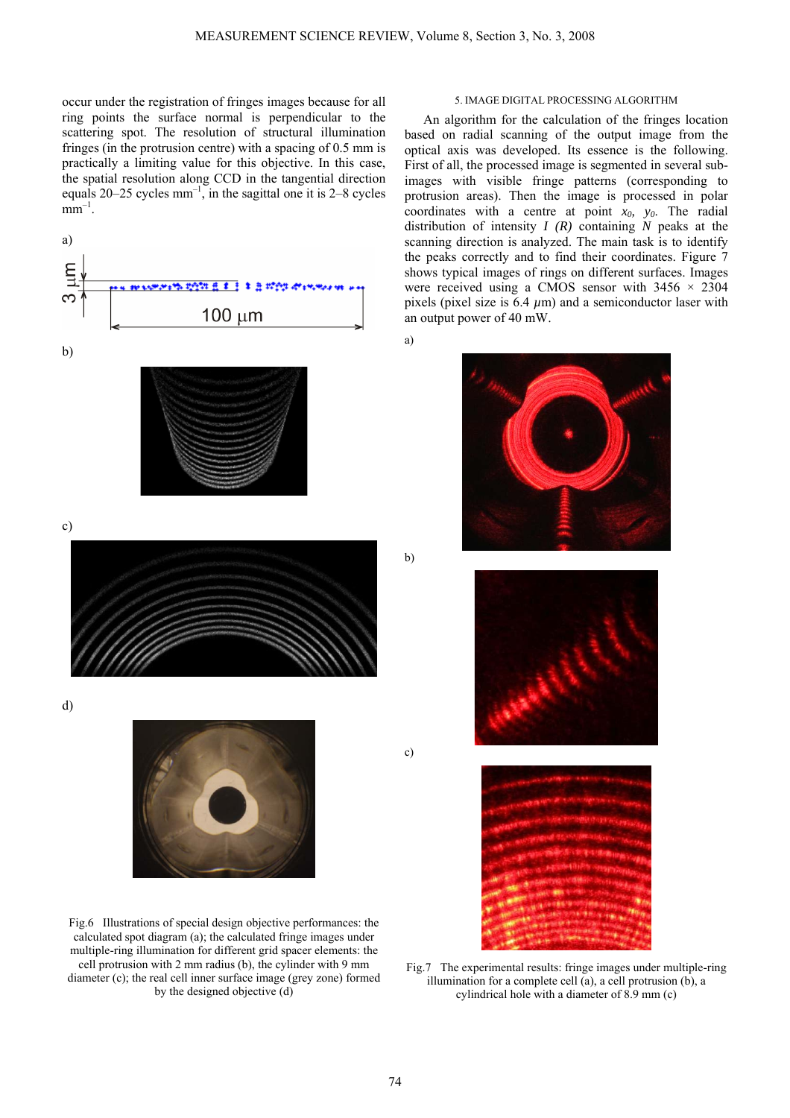occur under the registration of fringes images because for all ring points the surface normal is perpendicular to the scattering spot. The resolution of structural illumination fringes (in the protrusion centre) with a spacing of 0.5 mm is practically a limiting value for this objective. In this case, the spatial resolution along CCD in the tangential direction equals  $20-25$  cycles mm<sup>-1</sup>, in the sagittal one it is 2–8 cycles  $mm^{-1}$ .



Fig.6 Illustrations of special design objective performances: the calculated spot diagram (a); the calculated fringe images under multiple-ring illumination for different grid spacer elements: the cell protrusion with 2 mm radius (b), the cylinder with 9 mm diameter (c); the real cell inner surface image (grey zone) formed by the designed objective (d)

### 5. IMAGE DIGITAL PROCESSING ALGORITHM

An algorithm for the calculation of the fringes location based on radial scanning of the output image from the optical axis was developed. Its essence is the following. First of all, the processed image is segmented in several subimages with visible fringe patterns (corresponding to protrusion areas). Then the image is processed in polar coordinates with a centre at point  $x_0$ ,  $y_0$ . The radial distribution of intensity *I (R)* containing *N* peaks at the scanning direction is analyzed. The main task is to identify the peaks correctly and to find their coordinates. Figure 7 shows typical images of rings on different surfaces. Images were received using a CMOS sensor with  $3456 \times 2304$ pixels (pixel size is  $6.4 \mu m$ ) and a semiconductor laser with an output power of 40 mW.

a)



b)

c)





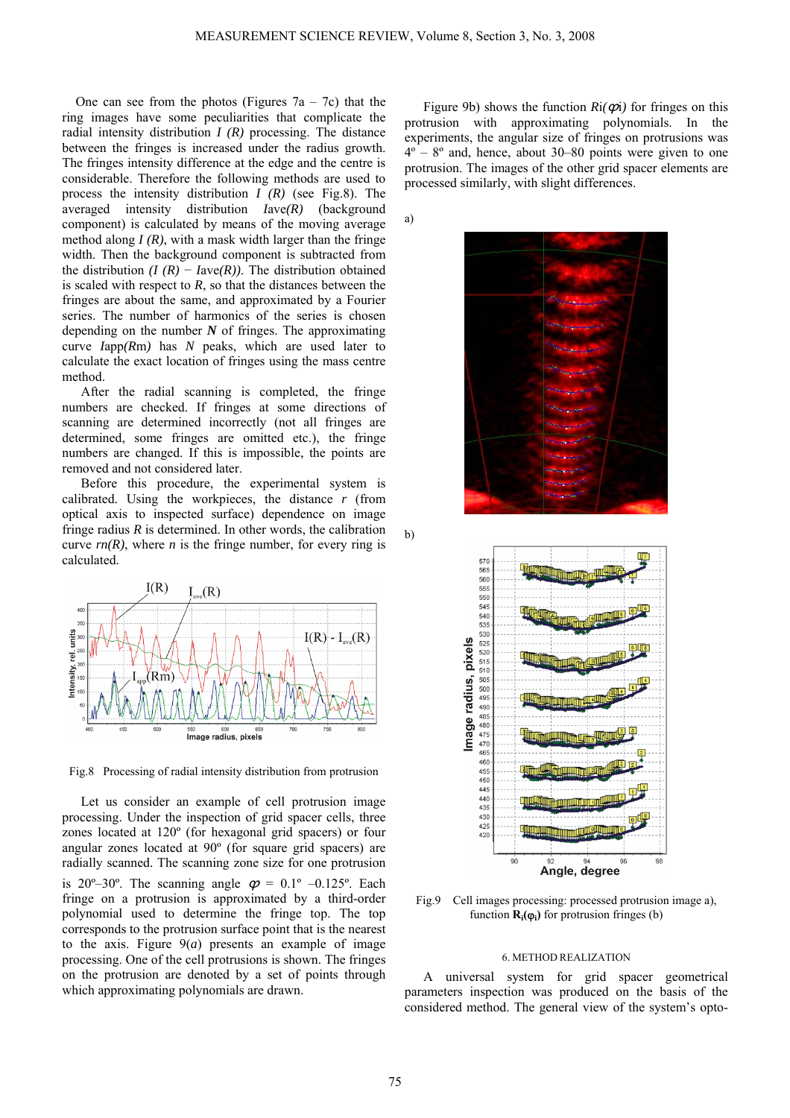a)

b)

One can see from the photos (Figures  $7a - 7c$ ) that the ring images have some peculiarities that complicate the radial intensity distribution *I (R)* processing. The distance between the fringes is increased under the radius growth. The fringes intensity difference at the edge and the centre is considerable. Therefore the following methods are used to process the intensity distribution *I (R)* (see Fig.8). The averaged intensity distribution *I*ave*(R)* (background component) is calculated by means of the moving average method along  $I(R)$ , with a mask width larger than the fringe width. Then the background component is subtracted from the distribution  $(I (R) - I \text{ave}(R))$ . The distribution obtained is scaled with respect to  $R$ , so that the distances between the fringes are about the same, and approximated by a Fourier series. The number of harmonics of the series is chosen depending on the number *N* of fringes. The approximating curve *I*app*(R*m*)* has *N* peaks, which are used later to calculate the exact location of fringes using the mass centre method.

After the radial scanning is completed, the fringe numbers are checked. If fringes at some directions of scanning are determined incorrectly (not all fringes are determined, some fringes are omitted etc.), the fringe numbers are changed. If this is impossible, the points are removed and not considered later.

Before this procedure, the experimental system is calibrated. Using the workpieces, the distance *r* (from optical axis to inspected surface) dependence on image fringe radius  $R$  is determined. In other words, the calibration curve  $rn(R)$ , where *n* is the fringe number, for every ring is calculated.



Fig.8 Processing of radial intensity distribution from protrusion

Let us consider an example of cell protrusion image processing. Under the inspection of grid spacer cells, three zones located at 120º (for hexagonal grid spacers) or four angular zones located at 90º (for square grid spacers) are radially scanned. The scanning zone size for one protrusion is 20°–30°. The scanning angle  $\varphi = 0.1$ ° –0.125°. Each fringe on a protrusion is approximated by a third-order polynomial used to determine the fringe top. The top corresponds to the protrusion surface point that is the nearest to the axis. Figure  $9(a)$  presents an example of image processing. One of the cell protrusions is shown. The fringes on the protrusion are denoted by a set of points through which approximating polynomials are drawn.

Figure 9b) shows the function  $\text{Ri}(\phi)$  for fringes on this protrusion with approximating polynomials. In the experiments, the angular size of fringes on protrusions was  $4^\circ$  –  $8^\circ$  and, hence, about 30–80 points were given to one protrusion. The images of the other grid spacer elements are processed similarly, with slight differences.







Fig.9 Cell images processing: processed protrusion image a), function  $\mathbf{R}_i(\varphi_i)$  for protrusion fringes (b)

### 6. METHOD REALIZATION

A universal system for grid spacer geometrical parameters inspection was produced on the basis of the considered method. The general view of the system's opto-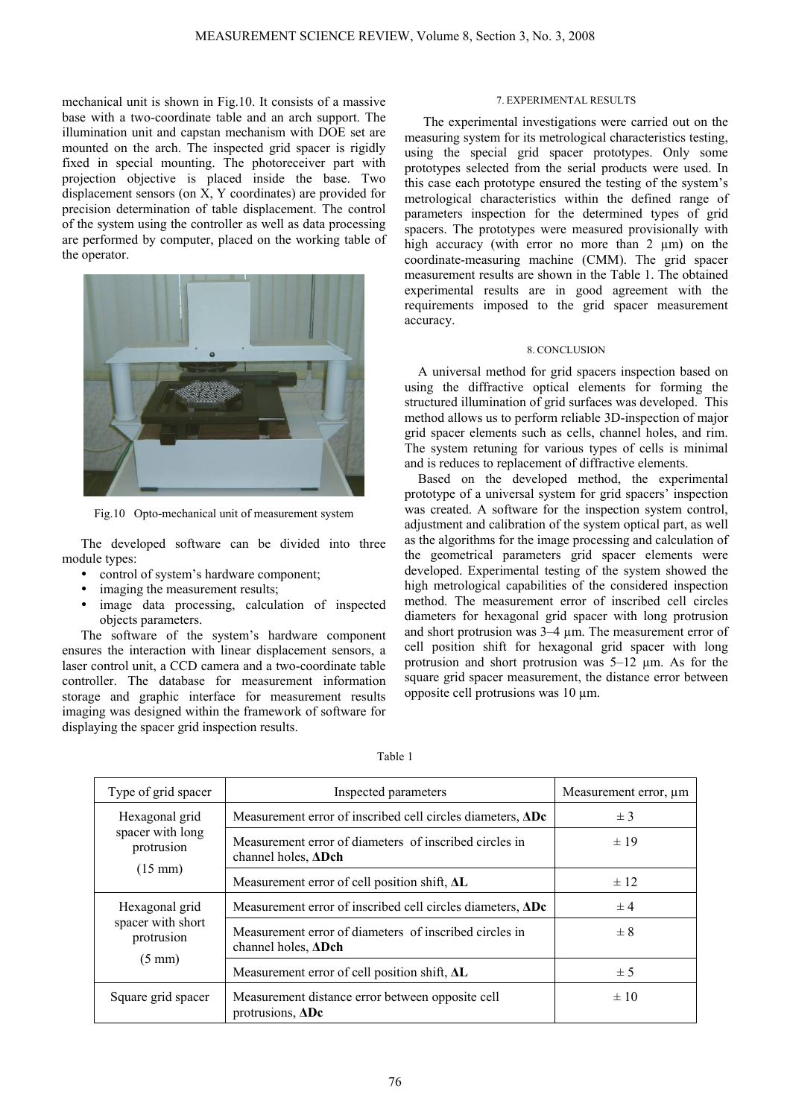mechanical unit is shown in Fig.10. It consists of a massive base with a two-coordinate table and an arch support. The illumination unit and capstan mechanism with DOE set are mounted on the arch. The inspected grid spacer is rigidly fixed in special mounting. The photoreceiver part with projection objective is placed inside the base. Two displacement sensors (on X, Y coordinates) are provided for precision determination of table displacement. The control of the system using the controller as well as data processing are performed by computer, placed on the working table of the operator.



Fig.10 Opto-mechanical unit of measurement system

The developed software can be divided into three module types:

- control of system's hardware component;
- imaging the measurement results;
- image data processing, calculation of inspected objects parameters.

The software of the system's hardware component ensures the interaction with linear displacement sensors, a laser control unit, a CCD camera and a two-coordinate table controller. The database for measurement information storage and graphic interface for measurement results imaging was designed within the framework of software for displaying the spacer grid inspection results.

## 7. EXPERIMENTAL RESULTS

The experimental investigations were carried out on the measuring system for its metrological characteristics testing, using the special grid spacer prototypes. Only some prototypes selected from the serial products were used. In this case each prototype ensured the testing of the system's metrological characteristics within the defined range of parameters inspection for the determined types of grid spacers. The prototypes were measured provisionally with high accuracy (with error no more than 2 µm) on the coordinate-measuring machine (CMM). The grid spacer measurement results are shown in the Table 1. The obtained experimental results are in good agreement with the requirements imposed to the grid spacer measurement accuracy.

# 8. CONCLUSION

A universal method for grid spacers inspection based on using the diffractive optical elements for forming the structured illumination of grid surfaces was developed. This method allows us to perform reliable 3D-inspection of major grid spacer elements such as cells, channel holes, and rim. The system retuning for various types of cells is minimal and is reduces to replacement of diffractive elements.

Based on the developed method, the experimental prototype of a universal system for grid spacers' inspection was created. A software for the inspection system control, adjustment and calibration of the system optical part, as well as the algorithms for the image processing and calculation of the geometrical parameters grid spacer elements were developed. Experimental testing of the system showed the high metrological capabilities of the considered inspection method. The measurement error of inscribed cell circles diameters for hexagonal grid spacer with long protrusion and short protrusion was 3–4 µm. The measurement error of cell position shift for hexagonal grid spacer with long protrusion and short protrusion was 5–12 µm. As for the square grid spacer measurement, the distance error between opposite cell protrusions was 10 µm.

| Type of grid spacer                                                   | Inspected parameters                                                                 | Measurement error, µm |
|-----------------------------------------------------------------------|--------------------------------------------------------------------------------------|-----------------------|
| Hexagonal grid<br>spacer with long<br>protrusion<br>$(15 \text{ mm})$ | Measurement error of inscribed cell circles diameters, <b>ADc</b>                    | $±$ 3                 |
|                                                                       | Measurement error of diameters of inscribed circles in<br>channel holes, ADch        | $\pm$ 19              |
|                                                                       | Measurement error of cell position shift, AL                                         | $\pm$ 12              |
| Hexagonal grid<br>spacer with short<br>protrusion<br>$(5 \text{ mm})$ | Measurement error of inscribed cell circles diameters, <b>ADc</b>                    | $\pm 4$               |
|                                                                       | Measurement error of diameters of inscribed circles in<br>channel holes, <b>ADch</b> | $\pm$ 8               |
|                                                                       | Measurement error of cell position shift, $\Delta L$                                 | ± 5                   |
| Square grid spacer                                                    | Measurement distance error between opposite cell<br>protrusions, $\Delta$ Dc         | $\pm 10$              |

Table 1